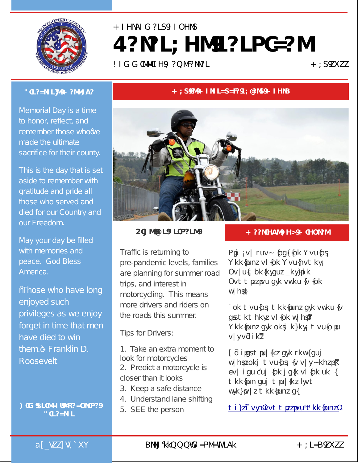

## Montgomery County **Veterans Services**

Commission Newsletter May 2022

## **Director's Message**

Memorial Day is a time to honor, reflect, and remember those who've made the ultimate sacrifice for their county.

This is the day that is set aside to remember with gratitude and pride all those who served and died for our Country and our Freedom.

May your day be filled with memories and peace. God Bless America.

"Those who have long enjoyed such privileges as we enjoy forget in time that men have died to win them."- Franklin D. Roosevelt

**Kim Frisco, Executive Director**

## **May is Motorcycle Safety Month**



**Tips for Drivers**

Traffic is returning to pre-pandemic levels, families are planning for summer road trips, and interest in motorcycling. This means more drivers and riders on the roads this summer.

Tips for Drivers:

1. Take an extra moment to look for motorcycles 2. Predict a motorcycle is closer than it looks

- 3. Keep a safe distance
- 4. Understand lane shifting
- 5. SEE the person

## **Meetings and Minutes**

Did you know that the Monthly Meetings of the Montgomery County Veterans Service Commission are open to the public?

The monthly meetings are open to all members of the public. Meetings are held every month in our offices.

O cial minutes are kept and published monthly to our website. You can find the date of the next meeting and minutes from previous meetings at

[mcvsc.org/commission-meetings/](https://mcvsc.org/commission-meetings/)